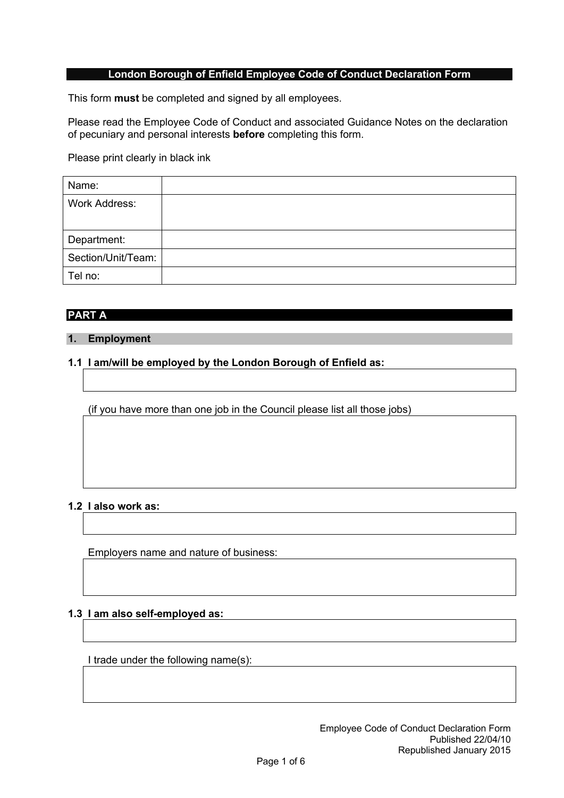# **London Borough of Enfield Employee Code of Conduct Declaration Form**

This form **must** be completed and signed by all employees.

Please read the Employee Code of Conduct and associated Guidance Notes on the declaration of pecuniary and personal interests **before** completing this form.

Please print clearly in black ink

| Name:                |  |
|----------------------|--|
| <b>Work Address:</b> |  |
|                      |  |
| Department:          |  |
| Section/Unit/Team:   |  |
| Tel no:              |  |

# **PART A**

# **1. Employment**

# **1.1 I am/will be employed by the London Borough of Enfield as:**

(if you have more than one job in the Council please list all those jobs)

# **1.2 I also work as:**

Employers name and nature of business:

# **1.3 I am also self-employed as:**

I trade under the following name(s):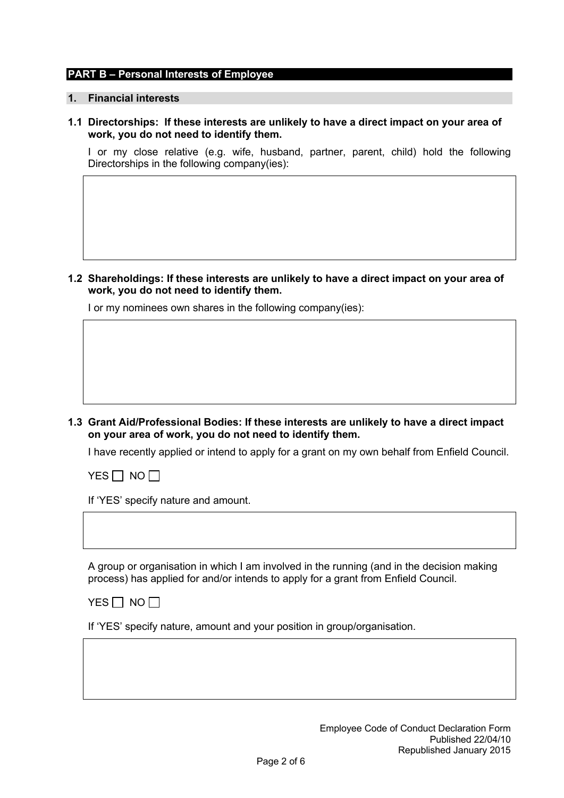#### **PART B – Personal Interests of Employee**

#### **1. Financial interests**

**1.1 Directorships: If these interests are unlikely to have a direct impact on your area of work, you do not need to identify them.**

I or my close relative (e.g. wife, husband, partner, parent, child) hold the following Directorships in the following company(ies):

**1.2 Shareholdings: If these interests are unlikely to have a direct impact on your area of work, you do not need to identify them.**

I or my nominees own shares in the following company(ies):

**1.3 Grant Aid/Professional Bodies: If these interests are unlikely to have a direct impact on your area of work, you do not need to identify them.**

I have recently applied or intend to apply for a grant on my own behalf from Enfield Council.

 $YES \Box NO \Box$ 

If 'YES' specify nature and amount.

A group or organisation in which I am involved in the running (and in the decision making process) has applied for and/or intends to apply for a grant from Enfield Council.

YES  $\Box$  NO  $\Box$ 

If 'YES' specify nature, amount and your position in group/organisation.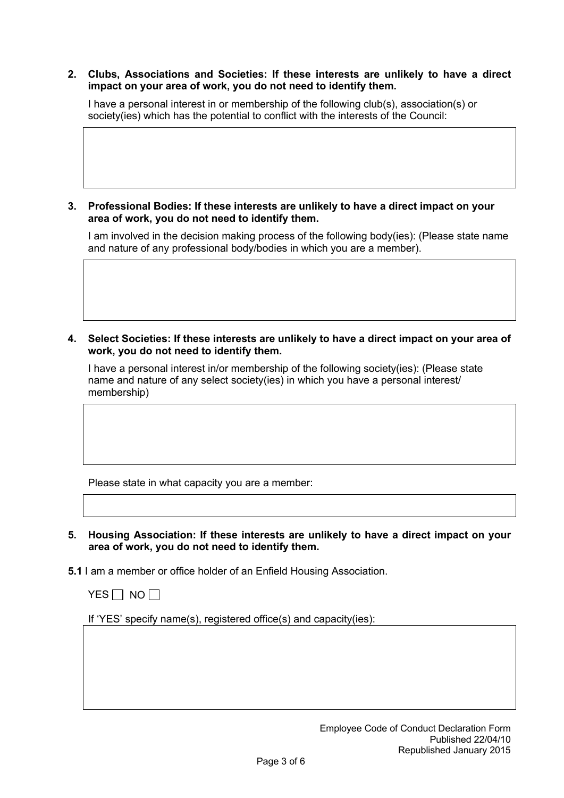### **2. Clubs, Associations and Societies: If these interests are unlikely to have a direct impact on your area of work, you do not need to identify them.**

I have a personal interest in or membership of the following club(s), association(s) or society(ies) which has the potential to conflict with the interests of the Council:

**3. Professional Bodies: If these interests are unlikely to have a direct impact on your area of work, you do not need to identify them.**

I am involved in the decision making process of the following body(ies): (Please state name and nature of any professional body/bodies in which you are a member).

**4. Select Societies: If these interests are unlikely to have a direct impact on your area of work, you do not need to identify them.**

I have a personal interest in/or membership of the following society(ies): (Please state name and nature of any select society(ies) in which you have a personal interest/ membership)

Please state in what capacity you are a member:

- **5. Housing Association: If these interests are unlikely to have a direct impact on your area of work, you do not need to identify them.**
- **5.1** I am a member or office holder of an Enfield Housing Association.



If 'YES' specify name(s), registered office(s) and capacity(ies):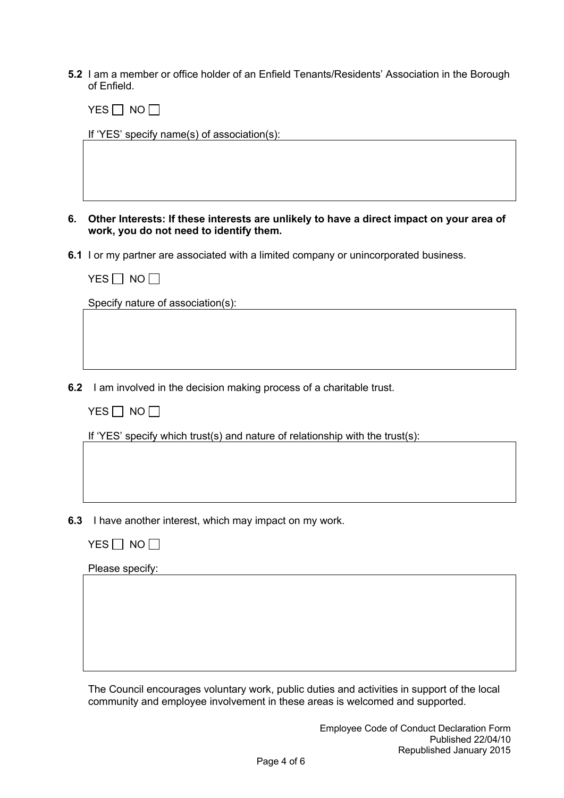**5.2** I am a member or office holder of an Enfield Tenants/Residents' Association in the Borough of Enfield.

 $YES \Box NO \Box$ 

If 'YES' specify name(s) of association(s):

**6. Other Interests: If these interests are unlikely to have a direct impact on your area of work, you do not need to identify them.**

**6.1** I or my partner are associated with a limited company or unincorporated business.

Specify nature of association(s): Specify nature of association(s):

**6.2** I am involved in the decision making process of a charitable trust.

|  | ۸I٢ |  |
|--|-----|--|
|--|-----|--|

If 'YES' specify which trust(s) and nature of relationship with the trust(s):

- **6.3** I have another interest, which may impact on my work.
	- $YES \Box NO \Box$

Please specify:

The Council encourages voluntary work, public duties and activities in support of the local community and employee involvement in these areas is welcomed and supported.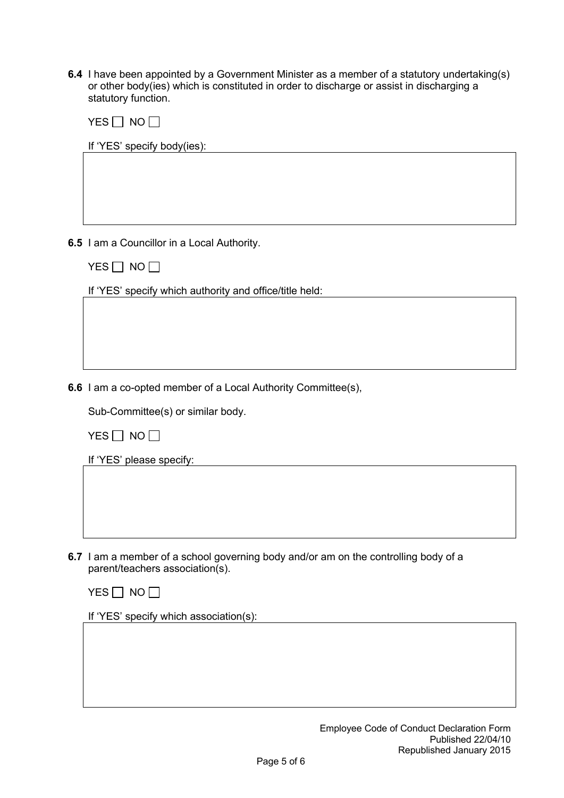**6.4** I have been appointed by a Government Minister as a member of a statutory undertaking(s) or other body(ies) which is constituted in order to discharge or assist in discharging a statutory function.

|  | \lí |
|--|-----|
|--|-----|

If 'YES' specify body(ies):

**6.5** I am a Councillor in a Local Authority.

 $YES$  NO  $\Box$ 

If 'YES' specify which authority and office/title held:

**6.6** I am a co-opted member of a Local Authority Committee(s),

Sub-Committee(s) or similar body.

 $YES$  NO  $\Box$ 

If 'YES' please specify:

**6.7** I am a member of a school governing body and/or am on the controlling body of a parent/teachers association(s).



If 'YES' specify which association(s):